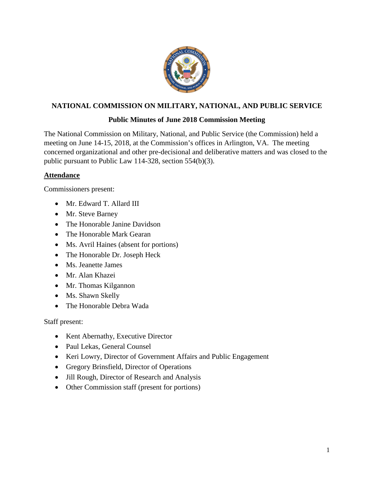

# **NATIONAL COMMISSION ON MILITARY, NATIONAL, AND PUBLIC SERVICE**

# **Public Minutes of June 2018 Commission Meeting**

The National Commission on Military, National, and Public Service (the Commission) held a meeting on June 14-15, 2018, at the Commission's offices in Arlington, VA. The meeting concerned organizational and other pre-decisional and deliberative matters and was closed to the public pursuant to Public Law 114-328, section 554(b)(3).

## **Attendance**

Commissioners present:

- Mr. Edward T. Allard III
- Mr. Steve Barney
- The Honorable Janine Davidson
- The Honorable Mark Gearan
- Ms. Avril Haines (absent for portions)
- The Honorable Dr. Joseph Heck
- Ms. Jeanette James
- Mr. Alan Khazei
- Mr. Thomas Kilgannon
- Ms. Shawn Skelly
- The Honorable Debra Wada

Staff present:

- Kent Abernathy, Executive Director
- Paul Lekas, General Counsel
- Keri Lowry, Director of Government Affairs and Public Engagement
- Gregory Brinsfield, Director of Operations
- Jill Rough, Director of Research and Analysis
- Other Commission staff (present for portions)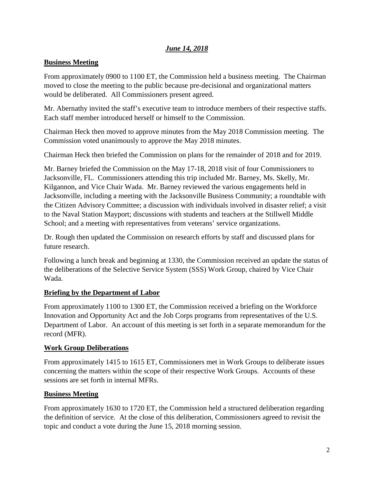# *June 14, 2018*

#### **Business Meeting**

From approximately 0900 to 1100 ET, the Commission held a business meeting. The Chairman moved to close the meeting to the public because pre-decisional and organizational matters would be deliberated. All Commissioners present agreed.

Mr. Abernathy invited the staff's executive team to introduce members of their respective staffs. Each staff member introduced herself or himself to the Commission.

Chairman Heck then moved to approve minutes from the May 2018 Commission meeting. The Commission voted unanimously to approve the May 2018 minutes.

Chairman Heck then briefed the Commission on plans for the remainder of 2018 and for 2019.

Mr. Barney briefed the Commission on the May 17-18, 2018 visit of four Commissioners to Jacksonville, FL. Commissioners attending this trip included Mr. Barney, Ms. Skelly, Mr. Kilgannon, and Vice Chair Wada. Mr. Barney reviewed the various engagements held in Jacksonville, including a meeting with the Jacksonville Business Community; a roundtable with the Citizen Advisory Committee; a discussion with individuals involved in disaster relief; a visit to the Naval Station Mayport; discussions with students and teachers at the Stillwell Middle School; and a meeting with representatives from veterans' service organizations.

Dr. Rough then updated the Commission on research efforts by staff and discussed plans for future research.

Following a lunch break and beginning at 1330, the Commission received an update the status of the deliberations of the Selective Service System (SSS) Work Group, chaired by Vice Chair Wada.

#### **Briefing by the Department of Labor**

From approximately 1100 to 1300 ET, the Commission received a briefing on the Workforce Innovation and Opportunity Act and the Job Corps programs from representatives of the U.S. Department of Labor. An account of this meeting is set forth in a separate memorandum for the record (MFR).

#### **Work Group Deliberations**

From approximately 1415 to 1615 ET, Commissioners met in Work Groups to deliberate issues concerning the matters within the scope of their respective Work Groups. Accounts of these sessions are set forth in internal MFRs.

#### **Business Meeting**

From approximately 1630 to 1720 ET, the Commission held a structured deliberation regarding the definition of service. At the close of this deliberation, Commissioners agreed to revisit the topic and conduct a vote during the June 15, 2018 morning session.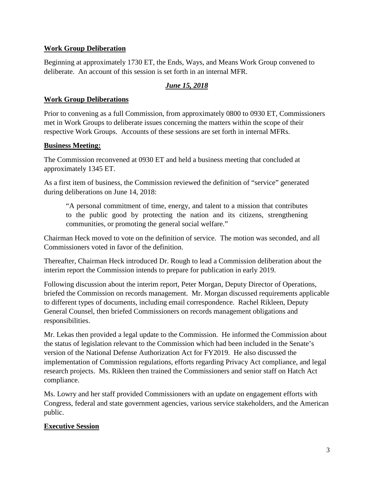## **Work Group Deliberation**

Beginning at approximately 1730 ET, the Ends, Ways, and Means Work Group convened to deliberate. An account of this session is set forth in an internal MFR.

# *June 15, 2018*

## **Work Group Deliberations**

Prior to convening as a full Commission, from approximately 0800 to 0930 ET, Commissioners met in Work Groups to deliberate issues concerning the matters within the scope of their respective Work Groups. Accounts of these sessions are set forth in internal MFRs.

## **Business Meeting:**

The Commission reconvened at 0930 ET and held a business meeting that concluded at approximately 1345 ET.

As a first item of business, the Commission reviewed the definition of "service" generated during deliberations on June 14, 2018:

"A personal commitment of time, energy, and talent to a mission that contributes to the public good by protecting the nation and its citizens, strengthening communities, or promoting the general social welfare."

Chairman Heck moved to vote on the definition of service. The motion was seconded, and all Commissioners voted in favor of the definition.

Thereafter, Chairman Heck introduced Dr. Rough to lead a Commission deliberation about the interim report the Commission intends to prepare for publication in early 2019.

Following discussion about the interim report, Peter Morgan, Deputy Director of Operations, briefed the Commission on records management. Mr. Morgan discussed requirements applicable to different types of documents, including email correspondence. Rachel Rikleen, Deputy General Counsel, then briefed Commissioners on records management obligations and responsibilities.

Mr. Lekas then provided a legal update to the Commission. He informed the Commission about the status of legislation relevant to the Commission which had been included in the Senate's version of the National Defense Authorization Act for FY2019. He also discussed the implementation of Commission regulations, efforts regarding Privacy Act compliance, and legal research projects. Ms. Rikleen then trained the Commissioners and senior staff on Hatch Act compliance.

Ms. Lowry and her staff provided Commissioners with an update on engagement efforts with Congress, federal and state government agencies, various service stakeholders, and the American public.

# **Executive Session**